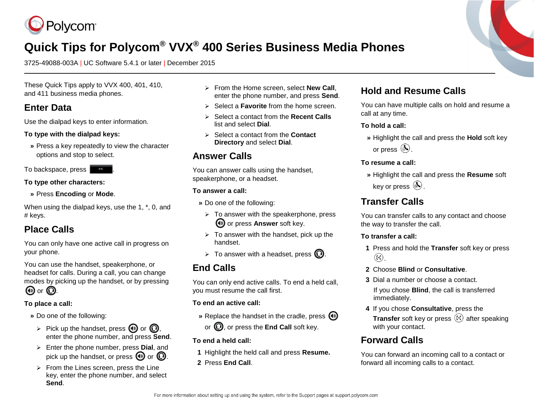

# **Quick Tips for Polycom® VVX® 400 Series Business Media Phones**

3725-49088-003A | UC Software 5.4.1 or later | December 2015

These Quick Tips apply to VVX 400, 401, 410, and 411 business media phones.

### **Enter Data**

Use the dialpad keys to enter information.

#### **To type with the dialpad keys:**

**»** Press a key repeatedly to view the character options and stop to select.

To backspace, press .

#### **To type other characters:**

**»** Press **Encoding** or **Mode**.

When using the dialpad keys, use the 1, \*, 0, and # keys.

## **Place Calls**

You can only have one active call in progress on your phone.

You can use the handset, speakerphone, or headset for calls. During a call, you can change modes by picking up the handset, or by pressing  $\mathbf{\Theta}$  or  $\mathbf{\Theta}$ .

#### **To place a call:**

- **»** Do one of the following:
- $\triangleright$  Pick up the handset, press  $\bigcirc$  or  $\bigcirc$ , enter the phone number, and press **Send**.
- Enter the phone number, press **Dial**, and pick up the handset, or press  $\mathbf{\Theta}$  or  $\mathbf{\mathbf{\Omega}}$ .
- $\triangleright$  From the Lines screen, press the Line key, enter the phone number, and select **Send**.
- From the Home screen, select **New Call**, enter the phone number, and press **Send**.
- Select a **Favorite** from the home screen.
- Select a contact from the **Recent Calls** list and select **Dial**.
- Select a contact from the **Contact Directory** and select **Dial**.

## **Answer Calls**

You can answer calls using the handset, speakerphone, or a headset.

#### **To answer a call:**

- **»** Do one of the following:
	- $\triangleright$  To answer with the speakerphone, press **(a)** or press **Answer** soft key.
- $\triangleright$  To answer with the handset, pick up the handset.
- $\triangleright$  To answer with a headset, press  $\mathbb{O}$ .

## **End Calls**

You can only end active calls. To end a held call, you must resume the call first.

#### **To end an active call:**

- **»** Replace the handset in the cradle, press  $\textcircled{\tiny{\textcircled{\tiny{\textcirc}}}}$ 
	- or  $\mathbf{Q}$ , or press the **End Call** soft key.
- **To end a held call:**
- **1** Highlight the held call and press **Resume.**
- **2** Press **End Call**.

### **Hold and Resume Calls**

You can have multiple calls on hold and resume a call at any time.

#### **To hold a call:**

**»** Highlight the call and press the **Hold** soft key or press  $\circledast$ .

#### **To resume a call:**

**»** Highlight the call and press the **Resume** soft key or press  $(\mathbb{A})$ .

## **Transfer Calls**

You can transfer calls to any contact and choose the way to transfer the call.

#### **To transfer a call:**

- **1** Press and hold the **Transfer** soft key or press  $\left(\mathbf{F}\right)$ .
- **2** Choose **Blind** or **Consultative**.
- **3** Dial a number or choose a contact.

If you chose **Blind**, the call is transferred immediately.

**4** If you chose **Consultative**, press the **Transfer** soft key or press (4) after speaking with your contact.

## **Forward Calls**

You can forward an incoming call to a contact or forward all incoming calls to a contact.